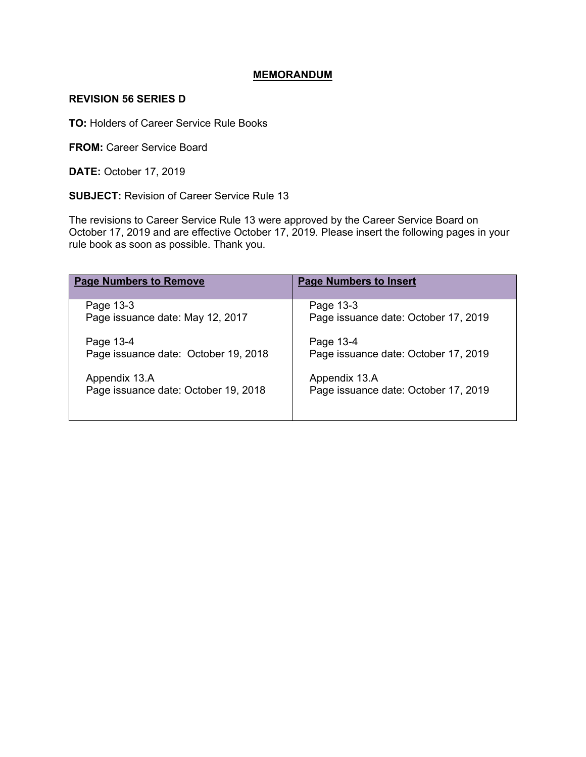### **MEMORANDUM**

#### **REVISION 56 SERIES D**

**TO:** Holders of Career Service Rule Books

**FROM:** Career Service Board

**DATE:** October 17, 2019

**SUBJECT:** Revision of Career Service Rule 13

The revisions to Career Service Rule 13 were approved by the Career Service Board on October 17, 2019 and are effective October 17, 2019. Please insert the following pages in your rule book as soon as possible. Thank you.

| <b>Page Numbers to Remove</b>        | <b>Page Numbers to Insert</b>        |
|--------------------------------------|--------------------------------------|
| Page 13-3                            | Page 13-3                            |
| Page issuance date: May 12, 2017     | Page issuance date: October 17, 2019 |
| Page 13-4                            | Page 13-4                            |
| Page issuance date: October 19, 2018 | Page issuance date: October 17, 2019 |
| Appendix 13.A                        | Appendix 13.A                        |
| Page issuance date: October 19, 2018 | Page issuance date: October 17, 2019 |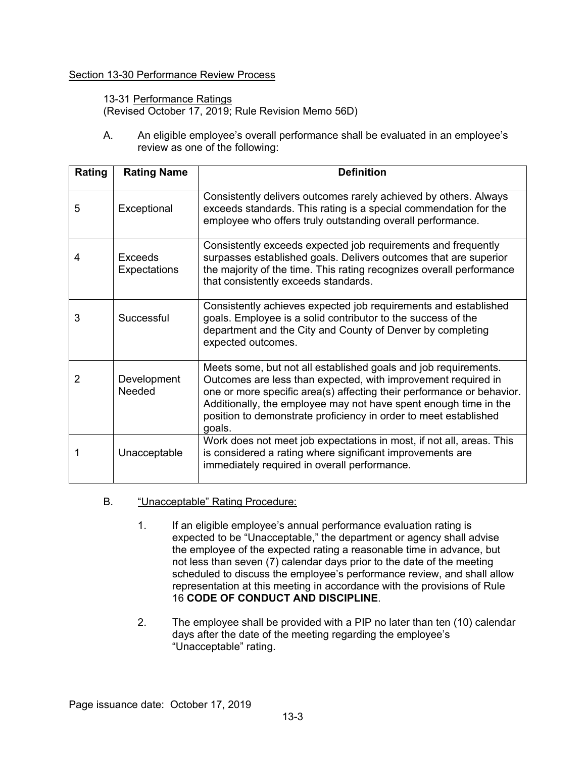## Section 13-30 Performance Review Process

13-31 Performance Ratings (Revised October 17, 2019; Rule Revision Memo 56D)

A. An eligible employee's overall performance shall be evaluated in an employee's review as one of the following:

| Rating | <b>Rating Name</b>      | <b>Definition</b>                                                                                                                                                                                                                                                                                                                                           |
|--------|-------------------------|-------------------------------------------------------------------------------------------------------------------------------------------------------------------------------------------------------------------------------------------------------------------------------------------------------------------------------------------------------------|
| 5      | Exceptional             | Consistently delivers outcomes rarely achieved by others. Always<br>exceeds standards. This rating is a special commendation for the<br>employee who offers truly outstanding overall performance.                                                                                                                                                          |
| 4      | Exceeds<br>Expectations | Consistently exceeds expected job requirements and frequently<br>surpasses established goals. Delivers outcomes that are superior<br>the majority of the time. This rating recognizes overall performance<br>that consistently exceeds standards.                                                                                                           |
| 3      | Successful              | Consistently achieves expected job requirements and established<br>goals. Employee is a solid contributor to the success of the<br>department and the City and County of Denver by completing<br>expected outcomes.                                                                                                                                         |
| 2      | Development<br>Needed   | Meets some, but not all established goals and job requirements.<br>Outcomes are less than expected, with improvement required in<br>one or more specific area(s) affecting their performance or behavior.<br>Additionally, the employee may not have spent enough time in the<br>position to demonstrate proficiency in order to meet established<br>goals. |
|        | Unacceptable            | Work does not meet job expectations in most, if not all, areas. This<br>is considered a rating where significant improvements are<br>immediately required in overall performance.                                                                                                                                                                           |

## B. "Unacceptable" Rating Procedure:

- 1. If an eligible employee's annual performance evaluation rating is expected to be "Unacceptable," the department or agency shall advise the employee of the expected rating a reasonable time in advance, but not less than seven (7) calendar days prior to the date of the meeting scheduled to discuss the employee's performance review, and shall allow representation at this meeting in accordance with the provisions of Rule 16 **CODE OF CONDUCT AND DISCIPLINE**.
- 2. The employee shall be provided with a PIP no later than ten (10) calendar days after the date of the meeting regarding the employee's "Unacceptable" rating.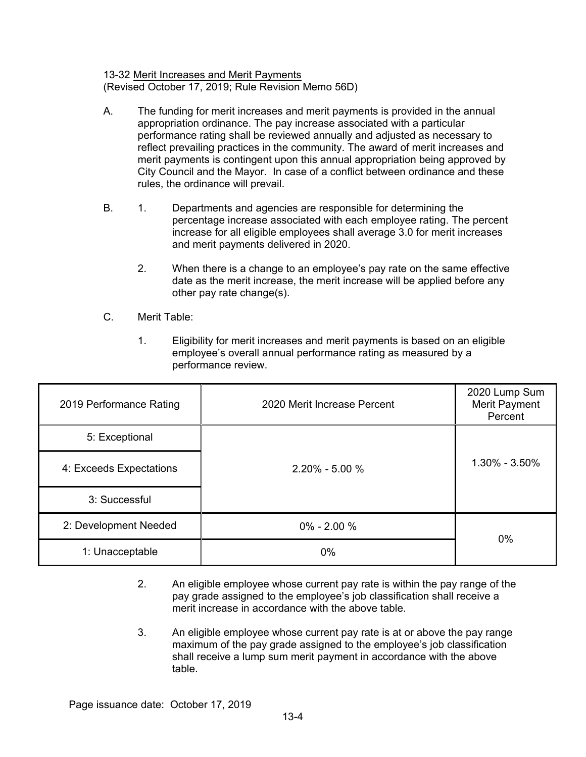### 13-32 Merit Increases and Merit Payments (Revised October 17, 2019; Rule Revision Memo 56D)

- A. The funding for merit increases and merit payments is provided in the annual appropriation ordinance. The pay increase associated with a particular performance rating shall be reviewed annually and adjusted as necessary to reflect prevailing practices in the community. The award of merit increases and merit payments is contingent upon this annual appropriation being approved by City Council and the Mayor. In case of a conflict between ordinance and these rules, the ordinance will prevail.
- B. 1. Departments and agencies are responsible for determining the percentage increase associated with each employee rating. The percent increase for all eligible employees shall average 3.0 for merit increases and merit payments delivered in 2020.
	- 2. When there is a change to an employee's pay rate on the same effective date as the merit increase, the merit increase will be applied before any other pay rate change(s).
- C. Merit Table:
	- 1. Eligibility for merit increases and merit payments is based on an eligible employee's overall annual performance rating as measured by a performance review.

| 2019 Performance Rating | 2020 Merit Increase Percent | 2020 Lump Sum<br>Merit Payment<br>Percent |
|-------------------------|-----------------------------|-------------------------------------------|
| 5: Exceptional          |                             |                                           |
| 4: Exceeds Expectations | $2.20\% - 5.00\%$           | $1.30\% - 3.50\%$                         |
| 3: Successful           |                             |                                           |
| 2: Development Needed   | $0\% - 2.00\%$              | 0%                                        |
| 1: Unacceptable         | 0%                          |                                           |

- 2. An eligible employee whose current pay rate is within the pay range of the pay grade assigned to the employee's job classification shall receive a merit increase in accordance with the above table.
- 3. An eligible employee whose current pay rate is at or above the pay range maximum of the pay grade assigned to the employee's job classification shall receive a lump sum merit payment in accordance with the above table.

Page issuance date: October 17, 2019